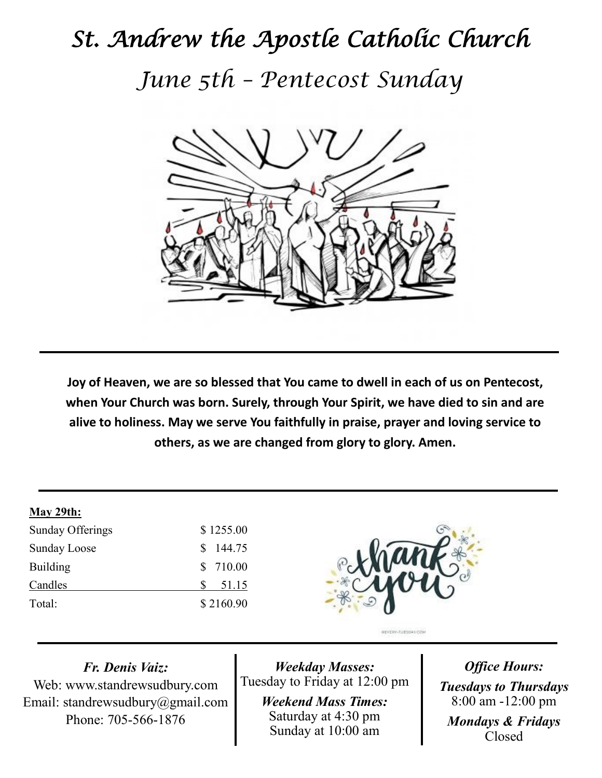## *St. Andrew the Apostle Catholic Church June 5th – Pentecost Sunday*



**Joy of Heaven, we are so blessed that You came to dwell in each of us on Pentecost, when Your Church was born. Surely, through Your Spirit, we have died to sin and are alive to holiness. May we serve You faithfully in praise, prayer and loving service to others, as we are changed from glory to glory. Amen.**

## **May 29th:**

| Sunday Offerings    | \$1255.00 |
|---------------------|-----------|
| <b>Sunday Loose</b> | \$144.75  |
| <b>Building</b>     | \$ 710.00 |
| Candles             | 51.15     |
| Total:              | \$2160.90 |



*Fr. Denis Vaiz:* Web: www.standrewsudbury.com Email: standrewsudbury@gmail.com Phone: 705-566-1876

*Weekday Masses:* Tuesday to Friday at 12:00 pm

> *Weekend Mass Times:*  Saturday at 4:30 pm Sunday at 10:00 am

*Office Hours: Tuesdays to Thursdays* 8:00 am -12:00 pm *Mondays & Fridays* Closed